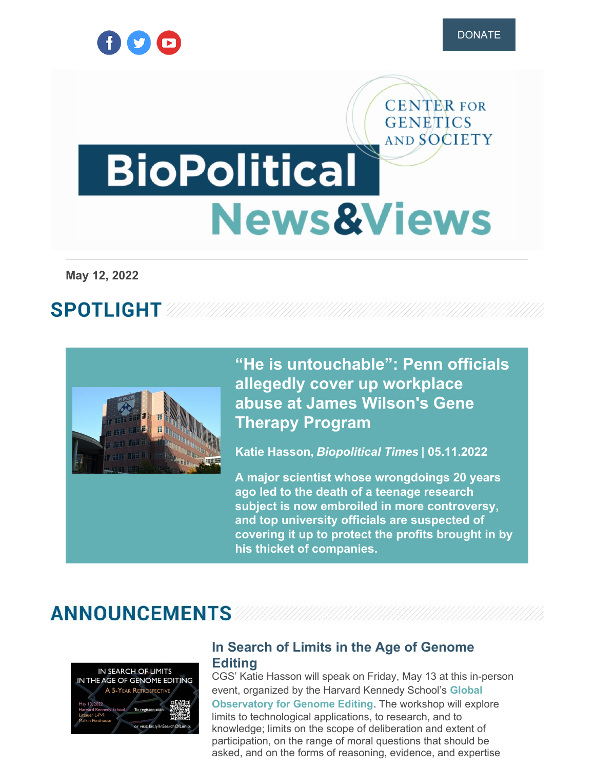

**CENTER FOR GENETICS** 

# AND SOCIETY **BioPolitical News&Views**

**May 12, 2022**

# **SPOTLIGHT**



**"He is [untouchable":](https://www.geneticsandsociety.org/biopolitical-times/he-untouchable-penn-officials-allegedly-cover-abuse-charges-against-geneticist) Penn officials allegedly cover up workplace abuse at James Wilson's Gene Therapy Program**

**Katie Hasson,** *Biopolitical Times* **| 05.11.2022**

**A major scientist whose wrongdoings 20 years ago led to the death of a teenage research subject is now embroiled in more controversy, and top university officials are suspected of covering it up to protect the profits brought in by his thicket of companies.**

### **ANNOUNCEMENTS**



#### **In Search of Limits in the Age of [Genome](https://global-observatory.org/2022/05/02/in-search-of-limits-in-the-age-of-genome-editing-may-13-2022/) Editing**

CGS' Katie Hasson will speak on Friday, May 13 at this in-person event, organized by the Harvard Kennedy School's **Global [Observatory](https://global-observatory.org/) for Genome Editing**. The workshop will explore limits to technological applications, to research, and to knowledge; limits on the scope of deliberation and extent of participation, on the range of moral questions that should be asked, and on the forms of reasoning, evidence, and expertise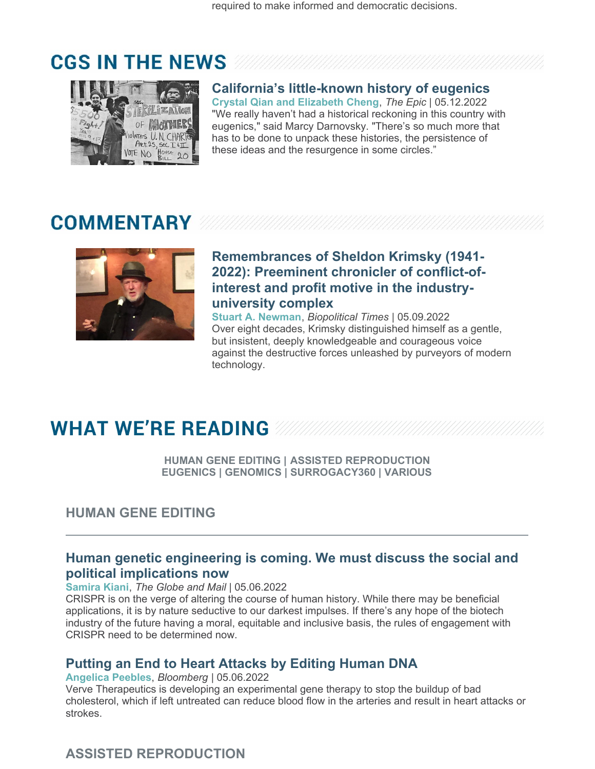# **CGS IN THE NEWS**



#### **California's [little-known](https://www.geneticsandsociety.org/article/californias-little-known-history-eugenics-0) history of eugenics**

**Crystal Qian and Elizabeth Cheng**, *The Epic* | 05.12.2022 "We really haven't had a historical reckoning in this country with eugenics," said Marcy Darnovsky. "There's so much more that has to be done to unpack these histories, the persistence of these ideas and the resurgence in some circles."

# **COMMENTARY**



#### **[Remembrances](https://www.geneticsandsociety.org/biopolitical-times/remembrances-sheldon-krimsky-1941-2022-preeminent-chronicler-conflict-interest) of Sheldon Krimsky (1941- 2022): Preeminent chronicler of conflict-ofinterest and profit motive in the industryuniversity complex**

**Stuart A. Newman**, *Biopolitical Times* | 05.09.2022 Over eight decades, Krimsky distinguished himself as a gentle, but insistent, deeply knowledgeable and courageous voice against the destructive forces unleashed by purveyors of modern technology.

# **WHAT WE'RE READING WWW**

**HUMAN GENE EDITING | ASSISTED REPRODUCTION EUGENICS | GENOMICS | SURROGACY360 | VARIOUS**

#### **HUMAN GENE EDITING**

#### **Human genetic [engineering](https://www.geneticsandsociety.org/article/human-genetic-engineering-coming-we-must-discuss-social-and-political-implications-now) is coming. We must discuss the social and political implications now**

**Samira Kiani**, *The Globe and Mail* | 05.06.2022

CRISPR is on the verge of altering the course of human history. While there may be beneficial applications, it is by nature seductive to our darkest impulses. If there's any hope of the biotech industry of the future having a moral, equitable and inclusive basis, the rules of engagement with CRISPR need to be determined now.

#### **Putting an End to Heart [Attacks](https://www.geneticsandsociety.org/article/putting-end-heart-attacks-editing-human-dna) by Editing Human DNA**

#### **Angelica Peebles**, *Bloomberg* | 05.06.2022

Verve Therapeutics is developing an experimental gene therapy to stop the buildup of bad cholesterol, which if left untreated can reduce blood flow in the arteries and result in heart attacks or strokes.

#### **ASSISTED REPRODUCTION**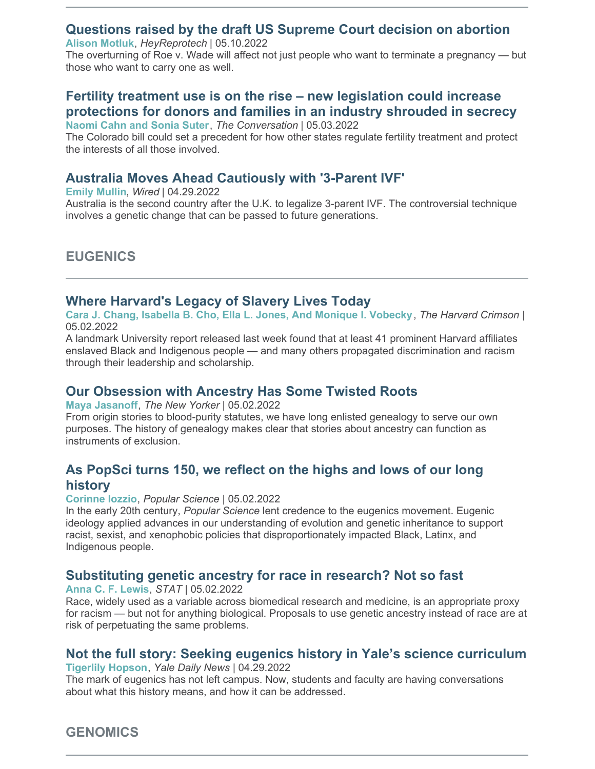#### **[Questions](https://www.geneticsandsociety.org/article/questions-raised-draft-us-supreme-court-decision-abortion) raised by the draft US Supreme Court decision on abortion**

**Alison Motluk**, *HeyReprotech* | 05.10.2022

The overturning of Roe v. Wade will affect not just people who want to terminate a pregnancy — but those who want to carry one as well.

#### **Fertility treatment use is on the rise – new legislation could increase [protections](https://www.geneticsandsociety.org/article/fertility-treatment-use-rise-new-legislation-could-increase-protections-donors-and-families) for donors and families in an industry shrouded in secrecy**

**Naomi Cahn and Sonia Suter**, *The Conversation* | 05.03.2022

The Colorado bill could set a precedent for how other states regulate fertility treatment and protect the interests of all those involved.

#### **Australia Moves Ahead [Cautiously](https://www.geneticsandsociety.org/article/australia-moves-ahead-cautiously-3-parent-ivf) with '3-Parent IVF'**

#### **Emily Mullin**, *Wired* | 04.29.2022

Australia is the second country after the U.K. to legalize 3-parent IVF. The controversial technique involves a genetic change that can be passed to future generations.

#### **EUGENICS**

#### **Where [Harvard's](https://www.geneticsandsociety.org/article/where-harvards-legacy-slavery-lives-today) Legacy of Slavery Lives Today**

**Cara J. Chang, Isabella B. Cho, Ella L. Jones, And Monique I. Vobecky**, *The Harvard Crimson* | 05.02.2022

A landmark University report released last week found that at least 41 prominent Harvard affiliates enslaved Black and Indigenous people — and many others propagated discrimination and racism through their leadership and scholarship.

#### **Our [Obsession](https://www.geneticsandsociety.org/article/our-obsession-ancestry-has-some-twisted-roots) with Ancestry Has Some Twisted Roots**

**Maya Jasanoff**, *The New Yorker* | 05.02.2022

From origin stories to blood-purity statutes, we have long enlisted genealogy to serve our own purposes. The history of genealogy makes clear that stories about ancestry can function as instruments of exclusion.

#### **As [PopSci](https://www.geneticsandsociety.org/article/popsci-turns-150-we-reflect-highs-and-lows-our-long-history) turns 150, we reflect on the highs and lows of our long history**

**Corinne Iozzio**, *Popular Science* | 05.02.2022

In the early 20th century, *Popular Science* lent credence to the eugenics movement. Eugenic ideology applied advances in our understanding of evolution and genetic inheritance to support racist, sexist, and xenophobic policies that disproportionately impacted Black, Latinx, and Indigenous people.

#### **[Substituting](https://www.geneticsandsociety.org/article/substituting-genetic-ancestry-race-research-not-so-fast) genetic ancestry for race in research? Not so fast**

**Anna C. F. Lewis**, *STAT* | 05.02.2022

Race, widely used as a variable across biomedical research and medicine, is an appropriate proxy for racism — but not for anything biological. Proposals to use genetic ancestry instead of race are at risk of perpetuating the same problems.

#### **Not the full story: Seeking eugenics history in Yale's science [curriculum](https://www.geneticsandsociety.org/article/not-full-story-seeking-eugenics-history-yales-science-curriculum)**

**Tigerlily Hopson**, *Yale Daily News* | 04.29.2022

The mark of eugenics has not left campus. Now, students and faculty are having conversations about what this history means, and how it can be addressed.

#### **GENOMICS**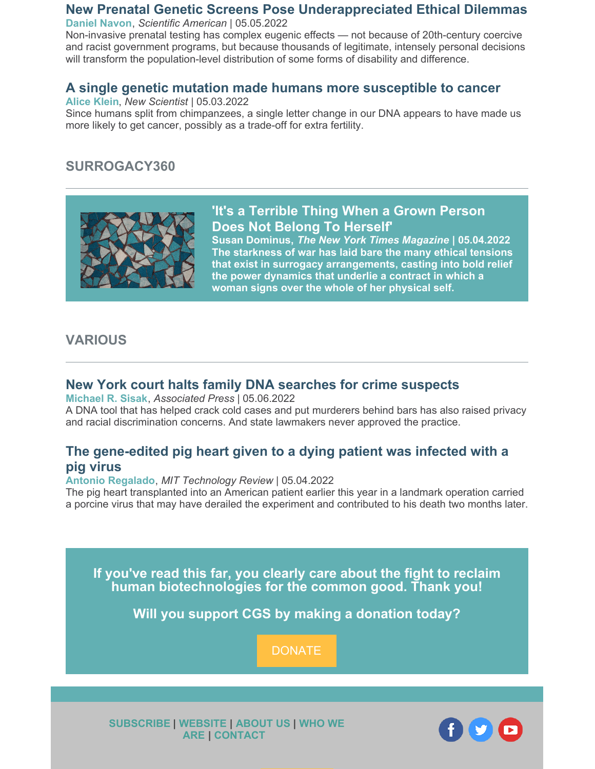#### **New Prenatal Genetic Screens Pose [Underappreciated](https://www.geneticsandsociety.org/article/new-prenatal-genetic-screens-pose-underappreciated-ethical-dilemmas) Ethical Dilemmas**

**Daniel Navon**, *Scientific American* | 05.05.2022

Non-invasive prenatal testing has complex eugenic effects — not because of 20th-century coercive and racist government programs, but because thousands of legitimate, intensely personal decisions will transform the population-level distribution of some forms of disability and difference.

#### **A single genetic mutation made humans more [susceptible](https://www.geneticsandsociety.org/article/single-genetic-mutation-made-humans-more-susceptible-cancer) to cancer**

**Alice Klein**, *New Scientist* | 05.03.2022

Since humans split from chimpanzees, a single letter change in our DNA appears to have made us more likely to get cancer, possibly as a trade-off for extra fertility.

#### **SURROGACY360**



#### **'It's a [Terrible](https://surrogacy360.org/2022/03/14/surrogacy-during-the-war-in-ukraine/) Thing When a Grown Person Does Not Belong To Herself'**

**Susan Dominus,** *The New York Times Magazine* **| 05.04.2022 The starkness of war has laid bare the many ethical tensions that exist in surrogacy arrangements, casting into bold relief the power dynamics that underlie a contract in which a woman signs over the whole of her physical self.**

#### **VARIOUS**

#### **New York court halts family DNA [searches](https://www.geneticsandsociety.org/article/new-york-court-halts-family-dna-searches-crime-suspects) for crime suspects**

**Michael R. Sisak**, *Associated Press* | 05.06.2022

A DNA tool that has helped crack cold cases and put murderers behind bars has also raised privacy and racial discrimination concerns. And state lawmakers never approved the practice.

#### **The [gene-edited](https://www.geneticsandsociety.org/article/gene-edited-pig-heart-given-dying-patient-was-infected-pig-virus) pig heart given to a dying patient was infected with a pig virus**

#### **Antonio Regalado**, *MIT Technology Review* | 05.04.2022

The pig heart transplanted into an American patient earlier this year in a landmark operation carried a porcine virus that may have derailed the experiment and contributed to his death two months later.

**If you've read this far, you clearly care about the fight to reclaim human biotechnologies for the common good. Thank you!**

**Will you support CGS by making a donation today?**

**[DONATE](https://donatenow.networkforgood.org/centerforgeneticsandsociety)** 

**[SUBSCRIBE](https://www.geneticsandsociety.org/subscribe) | [WEBSITE](http://www.geneticsandsociety.org) | [ABOUT](https://www.geneticsandsociety.org/about-us) US | WHO WE ARE | [CONTACT](https://www.geneticsandsociety.org/who-we-are)**